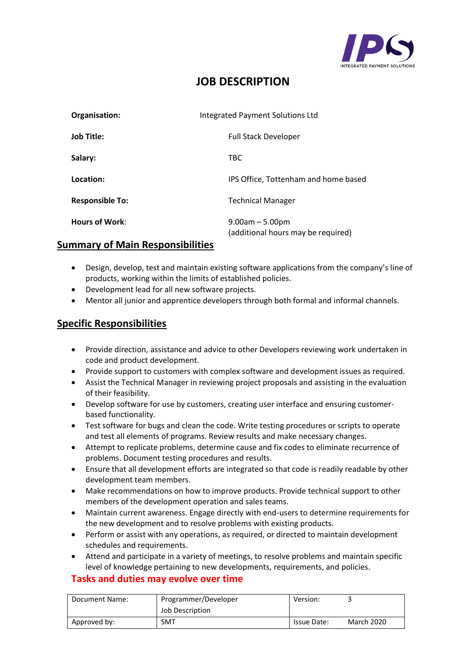

# **JOB DESCRIPTION**

| Organisation:          | <b>Integrated Payment Solutions Ltd</b>                 |  |
|------------------------|---------------------------------------------------------|--|
| <b>Job Title:</b>      | <b>Full Stack Developer</b>                             |  |
| Salary:                | <b>TBC</b>                                              |  |
| Location:              | IPS Office, Tottenham and home based                    |  |
| <b>Responsible To:</b> | <b>Technical Manager</b>                                |  |
| <b>Hours of Work:</b>  | $9.00am - 5.00pm$<br>(additional hours may be required) |  |

### **Summary of Main Responsibilities**

- Design, develop, test and maintain existing software applications from the company's line of products, working within the limits of established policies.
- Development lead for all new software projects.
- Mentor all junior and apprentice developers through both formal and informal channels.

## **Specific Responsibilities**

- Provide direction, assistance and advice to other Developers reviewing work undertaken in code and product development.
- Provide support to customers with complex software and development issues as required.
- Assist the Technical Manager in reviewing project proposals and assisting in the evaluation of their feasibility.
- Develop software for use by customers, creating user interface and ensuring customerbased functionality.
- Test software for bugs and clean the code. Write testing procedures or scripts to operate and test all elements of programs. Review results and make necessary changes.
- Attempt to replicate problems, determine cause and fix codes to eliminate recurrence of problems. Document testing procedures and results.
- Ensure that all development efforts are integrated so that code is readily readable by other development team members.
- Make recommendations on how to improve products. Provide technical support to other members of the development operation and sales teams.
- Maintain current awareness. Engage directly with end-users to determine requirements for the new development and to resolve problems with existing products.
- Perform or assist with any operations, as required, or directed to maintain development schedules and requirements.
- Attend and participate in a variety of meetings, to resolve problems and maintain specific level of knowledge pertaining to new developments, requirements, and policies.

### **Tasks and duties may evolve over time**

| Document Name: | Programmer/Developer | Version:    |                   |
|----------------|----------------------|-------------|-------------------|
|                | Job Description      |             |                   |
| Approved by:   | SMT                  | Issue Date: | <b>March 2020</b> |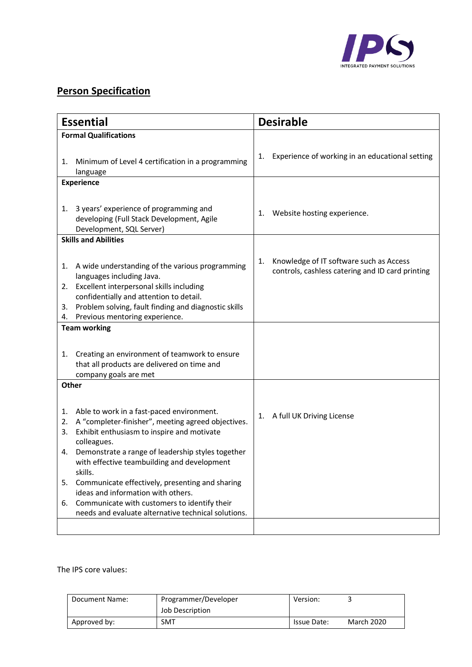

# **Person Specification**

| <b>Essential</b>                                                                                                                                                               | <b>Desirable</b>                                                                                  |  |  |
|--------------------------------------------------------------------------------------------------------------------------------------------------------------------------------|---------------------------------------------------------------------------------------------------|--|--|
| <b>Formal Qualifications</b>                                                                                                                                                   |                                                                                                   |  |  |
| Minimum of Level 4 certification in a programming<br>1.<br>language                                                                                                            | Experience of working in an educational setting<br>1.                                             |  |  |
| <b>Experience</b>                                                                                                                                                              |                                                                                                   |  |  |
| 3 years' experience of programming and<br>1.<br>developing (Full Stack Development, Agile<br>Development, SQL Server)                                                          | Website hosting experience.<br>1.                                                                 |  |  |
| <b>Skills and Abilities</b>                                                                                                                                                    |                                                                                                   |  |  |
| A wide understanding of the various programming<br>1.<br>languages including Java.<br>Excellent interpersonal skills including<br>2.                                           | Knowledge of IT software such as Access<br>1.<br>controls, cashless catering and ID card printing |  |  |
| confidentially and attention to detail.<br>Problem solving, fault finding and diagnostic skills<br>3.<br>Previous mentoring experience.<br>4.                                  |                                                                                                   |  |  |
| <b>Team working</b>                                                                                                                                                            |                                                                                                   |  |  |
|                                                                                                                                                                                |                                                                                                   |  |  |
| Creating an environment of teamwork to ensure<br>1.<br>that all products are delivered on time and<br>company goals are met                                                    |                                                                                                   |  |  |
| Other                                                                                                                                                                          |                                                                                                   |  |  |
| Able to work in a fast-paced environment.<br>1.<br>A "completer-finisher", meeting agreed objectives.<br>2.<br>Exhibit enthusiasm to inspire and motivate<br>3.<br>colleagues. | A full UK Driving License<br>1.                                                                   |  |  |
| Demonstrate a range of leadership styles together<br>4.<br>with effective teambuilding and development<br>skills.                                                              |                                                                                                   |  |  |
| Communicate effectively, presenting and sharing<br>5.                                                                                                                          |                                                                                                   |  |  |
| ideas and information with others.<br>Communicate with customers to identify their<br>6.                                                                                       |                                                                                                   |  |  |
| needs and evaluate alternative technical solutions.                                                                                                                            |                                                                                                   |  |  |
|                                                                                                                                                                                |                                                                                                   |  |  |

The IPS core values:

| Document Name: | Programmer/Developer | Version:    |            |
|----------------|----------------------|-------------|------------|
|                | Job Description      |             |            |
| Approved by:   | <b>SMT</b>           | Issue Date: | March 2020 |